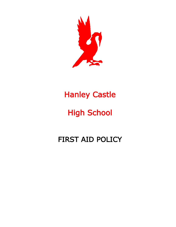

## Hanley Castle

# High School

## FIRST AID POLICY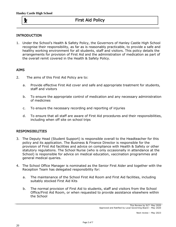y

## First Aid Policy

#### INTRODUCTION

1. Under the School's Health & Safety Policy, the Governors of Hanley Castle High School recognise their responsibility, as far as is reasonably practicable, to provide a safe and healthy working environment for all students, staff and visitors. This policy details the arrangements for provision of First Aid and the administration of medication as part of the overall remit covered in the Health & Safety Policy.

#### AIMS

- 2. The aims of this First Aid Policy are to:
	- a. Provide effective First Aid cover and safe and appropriate treatment for students, staff and visitors
	- b. To ensure the appropriate control of medication and any necessary administration of medicines
	- c. To ensure the necessary recording and reporting of injuries
	- d. To ensure that all staff are aware of First Aid procedures and their responsibilities, including when off site on school trips

#### RESPONSIBILITIES

- 3. The Deputy Head (Student Support) is responsible overall to the Headteacher for this policy and its application. The Business & Finance Director is responsible for the provision of First Aid facilities and advice on compliance with Health & Safety or other statutory regulations. The School Nurse (who is only occasionally in attendance at the School) is responsible for advice on medical education, vaccination programmes and general medical queries.
- 4. The School Office Manager is nominated as the Senior First Aider and together with the Reception Team has delegated responsibility for:
	- a. The maintenance of the School First Aid Room and First Aid facilities, including suitably stocked First Aid Kits
	- b. The normal provision of First Aid to students, staff and visitors from the School Office/First Aid Room, or when requested to provide assistance elsewhere within the School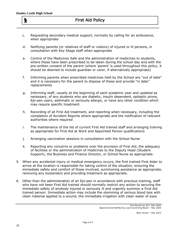ķ

- c. Requesting secondary medical support, normally by calling for an ambulance, when appropriate
- d. Notifying parents (or relatives of staff or visitors) of injured or ill persons, in consultation with Key Stage staff when appropriate
- e. Control of the Medicines Safe and the administration of medicines to students, where these have been prescribed to be taken during the school day and with the pre-written consent of the parent (where 'parent' is used throughout this policy, it should be deemed to include guardian or carer, if alternatively appropriate)
- f. Informing parents when prescribed medicines held by the School are "out of date" and it is necessary for the parent to dispose of these and provide "in date" replacements
- g. Informing staff, usually at the beginning of each academic year and updated as necessary, of any students who are diabetic, insulin dependent, epileptic prone, Epi-pen users, asthmatic or seriously allergic, or have any other condition which may require specific treatment
- h. Recording of all First Aid treatment, and reporting when necessary, including the completion of Accident Reports where appropriate and the notification of relevant authorities where required
- i. The maintenance of the list of current First Aid trained staff and arranging training as appropriate for First Aid at Work and Appointed Person qualifications
- j. Arranging vaccination sessions in consultation with the School Nurse
- k. Reporting any concerns or problems over the provision of First Aid, the adequacy of facilities or the administration of medicines to the Deputy Head (Student Support), the Business and Finance Director, or School Nurse as appropriate.
- 5. When any accidental injury or medical emergency occurs, the first trained First Aider to arrive at the location is responsible for taking control of the situation, ensuring the immediate safety and comfort of those involved, summoning assistance as appropriate, removing any bystanders and providing treatment as appropriate.
- 6. Other than the administration of an Epi-pen in accordance with previous training, staff who have not been First Aid trained should normally restrict any action to securing the immediate safety of anybody injured or seriously ill and urgently summon a First Aid trained person. Immediate action may include the stemming of serious blood loss with clean material applied to a wound, the immediate irrigation with clean water of eyes

Next review – May 2023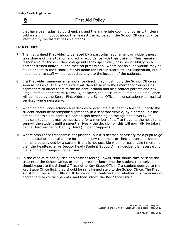## First Aid Policy

that have been splashed by chemicals and the immediate cooling of burns with clean cold water. If in doubt about the nearest trained person, the School Office should be informed by the fastest possible means.

#### PROCEDURES

y

- 7. The first trained First Aider to be faced by a particular requirement or incident must take charge of the situation and act in accordance with their training. They remain responsible for those in their charge until they specifically pass responsibility on to another trained individual or a medical professional. Where possible individuals may be taken or sent to the School First Aid Room for further treatment or recuperation, but if not ambulance staff will be requested to go to the location of the patients.
- 8. If a First Aider summons an ambulance direct, they must notify the School Office as soon as possible. The School Office will then liaise with the Emergency Services as appropriate to direct them to the incident location and also contact parents and Key Stage staff as appropriate. Normally, however, the decision to summon an ambulance will be made by the Senior First Aider in the School Office, in consultation with medical services where necessary.
- 9. When an ambulance attends and decides to evacuate a student to hospital, ideally the student should be accompanied (probably in a separate vehicle) by a parent. If it has not been possible to contact a parent, and depending on the age and severity of medical situation, it may be necessary for a member of staff to travel to the hospital to support the student until a parent arrives – the decision on this will normally be taken by the Headteacher or Deputy Head (Student Support).
- 10. Where ambulance transport is not justified, but it is deemed necessary for a pupil to go to a hospital or medical centre for minor injury treatment or checks, transport should normally be provided by a parent. If this is not possible within a reasonable timeframe, then the Headteacher or Deputy Head (Student Support) may decide it is necessary for the School to arrange suitable transport.
- 11. In the case of minor injuries or a student feeling unwell, staff should take or send the student to the School Office, or during break or lunchtime the student themselves should report to the School Office, not to Key Stage Office. If a student does go to the Key Stage Office first, they should be sent immediately to the School Office. The First Aid staff in the School Office will decide on the treatment and whether it is necessary or appropriate to contact parents, and then inform the Key Stage Office.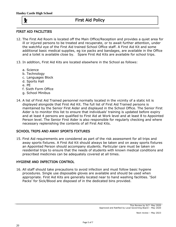y

## First Aid Policy

#### FIRST AID FACILITIES

- 12. The First Aid Room is located off the Main Office/Reception and provides a quiet area for ill or injured persons to be treated and recuperate, or to await further attention, under the watchful eye of the First Aid trained School Office staff. A First Aid Kit and some additional basic medical supplies, eg ice packs and bandages, are available in the Office and a toilet is available close by. Spare First Aid Kits are available for school trips.
- 13. In addition, First Aid Kits are located elsewhere in the School as follows:
	- a. Science
	- b. Technology
	- c. Languages Block
	- d. Sports Hall
	- e. PE
	- f. Sixth Form Office
	- g. School Minibus
- 14. A list of First Aid Trained personnel normally located in the vicinity of a static kit is displayed alongside that First Aid Kit. The full list of First Aid Trained persons is maintained by the Senior First Aider and displayed in the School Office. The Senior First Aider is to monitor this list to ensure that individuals' training is updated before expiry and at least 4 persons are qualified to First Aid at Work level and at least 8 to Appointed Person level. The Senior First Aider is also responsible for regularly checking and where necessary replenishing the contents of all First Aid Kits.

#### SCHOOL TRIPS AND AWAY SPORTS FIXTURES

15. First Aid requirements are considered as part of the risk assessment for all trips and away sports fixtures. A First Aid Kit should always be taken and on away sports fixtures an Appointed Person should accompany students. Particular care must be taken on residential trips to ensure that the needs of students with known medical conditions and prescribed medicines can be adequately covered at all times.

#### HYGIENE AND INFECTION CONTROL

16. All staff should take precautions to avoid infection and must follow basic hygiene procedures. Single use disposable gloves are available and should be used when appropriate. First Aid Kits are generally located near to hand washing facilities. 'Soil Packs' for Sick/Blood are disposed of in the dedicated bins provided.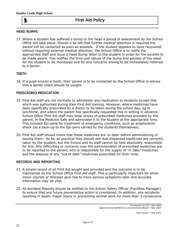y

### First Aid Policy

#### HEAD BUMPS

17. Where a student has suffered a bump to the head a period of assessment by the School Office will take place. Should it be felt that further medical attention is required the parent will be contacted as soon as possible. If the student appears to have recovered without requiring external medical attention, the School Office is to notify the appropriate staff and issue a Head Bump letter to the student in order for the parents to be made aware. This notifies the time and nature of the bump and advises of the need for the student to be monitored and for any concerns arising to be immediately referred to a doctor.

#### TEETH

18. If a pupil knocks a tooth, their parent is to be contacted by the School Office to advise that a dental check should be sought.

#### PRESCRIBED MEDICATION

- 19. First Aid staff are not normally to administer any medication to students except that which was authorised during their First Aid training. However, where medicines have been specifically prescribed by a doctor to be taken during the school day, eg at lunchtime, and where the parent has specifically requested this in writing in advance, School Office First Aid staff may keep stocks of prescribed medicines provided by the parent, in the Medicine Safe and administer it to the student at the appropriate time. This includes Epi-pens for treatment of emergency conditions, such as anaphylactic shock (as a back-up to the Epi-pens carried by the students themselves).
- 20. First Aid staff should check that these medicines are 'in date' before administering or issuing them. As far as practical they should see that dispensed medicines are correctly taken by the student, but the School and its staff cannot be held absolutely responsible for this. Any difficulties or concerns over the administration of prescribed medicines are to be reported to the parent, who is responsible for the supply of "in date" medicines and the disposal of any "out of date" medicines prescribed for their child.

#### RECORDS AND REPORTING

- 21. A simple record of all First Aid sought and provided and the outcome is to be maintained by the School Office First Aid staff. This is particularly important for when minor injuries or illnesses give rise to more serious symptoms later and accurate information may be vital.
- 22. All Accident Reports should be notified to the School Safety Officer (Facilities Manager) to ensure that any future preventative action is considered. In addition, any accidents resulting in death, major injury or preventing normal work for more than 3 consecutive